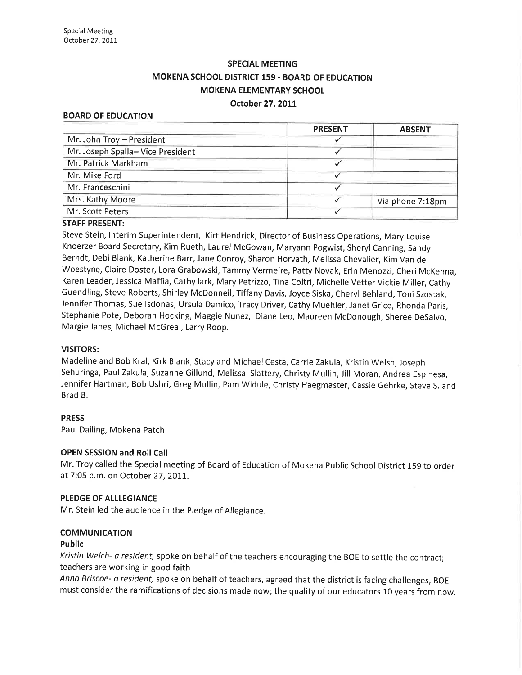# SPECIAL MEETING MOKENA SCHOOL DISTRICT 159 - BOARD OF EDUCATION MOKENA ELEMENTARY SCHOOL

#### October 27, 2011

## BOARD OF EDUCATION

|                                  | <b>PRESENT</b> | <b>ABSENT</b>    |
|----------------------------------|----------------|------------------|
| Mr. John Troy - President        |                |                  |
| Mr. Joseph Spalla-Vice President |                |                  |
| Mr. Patrick Markham              |                |                  |
| Mr. Mike Ford                    |                |                  |
| Mr. Franceschini                 |                |                  |
| Mrs. Kathy Moore                 |                | Via phone 7:18pm |
| Mr. Scott Peters                 |                |                  |

## STAFF PRESENT:

Steve Stein, lnterim Superintendent, Kirt Hendrick, Director of Business Operations, Mary Louise Knoerzer Board Secretary, Kim Rueth, Laurel McGowan, Maryann Pogwist, Sheryl Canning, Sandy Berndt, Debi Blank, Katherine Barr, Jane Conroy, Sharon Horvath, Melissa Chevalier, Kim Van de Woestyne, Claire Doster, Lora Grabowski, Tammy Vermeire, Patty Novak, Erin Menozzi, Cheri McKenna, Karen Leader, Jessica Maffia, Cathy lark, Mary Petrizzo, Tina Coltri, Michelle Vetter Vickie Miller, Cathy Guendling, Steve Roberts, Shirley McDonnell, Tiffany Davis, Joyce Siska, Cheryl Behland, Toni Szostak, Jennifer Thomas, Sue Isdonas, Ursula Damico, Tracy Driver, Cathy Muehler, Janet Grice, Rhonda Paris, Stephanie Pote, Deborah Hocking, Maggie Nunez, Diane Leo, Maureen McDonough, Sheree DeSalvo, Margie Janes, Michael McGreal, Larry Roop.

#### VISITORS:

Madeline and Bob Kral, Kirk Blank, Stacyand MichaelCesta, Carrie Zakula, Kristin Welsh, Joseph Sehuringa, Paul Zakula, Suzanne Gillund, Melissa Slattery, Christy Mullin, Jill Moran, Andrea Espinesa, Jennifer Hartman, Bob Ushri, Greg Mullin, Pam Widule, Christy Haegmaster, Cassie Gehrke, Steve S. and Brad B.

#### PRESS

Paul Dailing, Mokena Patch

## OPEN SESSION and Roll Call

Mr. Troy called the Special meeting of Board of Education of Mokena Public School District 159 to order at 7:05 p.m. on October 27, 2011.

#### PLEDGE OF ALLLEGIANCE

Mr. Stein led the audience in the Pledge of Allegiance.

# **COMMUNICATION**

### Public

Kristin Welch- a resident, spoke on behalf of the teachers encouraging the BOE to settle the contract; teachers are working in good faith

Anna Briscoe- a resident, spoke on behalf of teachers, agreed that the district is facing challenges, BOE must consider the ramifications of decisions made now; the quality of our educators 10 years from now.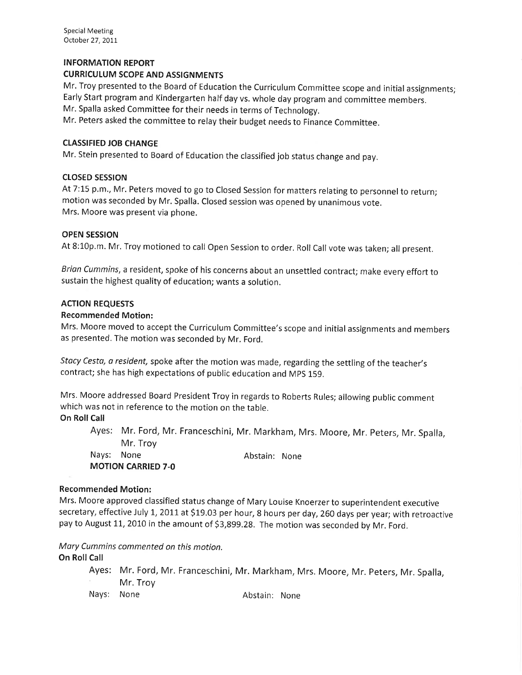## INFORMATION REPORT

## CURRICULUM SCOPE AND ASSIGNMENTS

Mr. Troy presented to the Board of Education the Curriculum Committee scope and initial assignments; Early Start program and Kindergarten half day vs. whole day program and committee members.

Mr. Spalla asked Committee for their needs in terms of Technology.

Mr. Peters asked the committee to relay their budget needs to Finance Committee.

## CLASSIFIED JOB CHANGE

Mr. Stein presented to Board of Education the classified job status change and pay.

## **CLOSED SESSION**

At 7:15 p.m., Mr. Peters moved to go to Closed Session for matters relating to personnel to return; motion was seconded by Mr. Spalla. Closed session was opened by unanimous vote. Mrs. Moore was present via phone.

## OPEN SESSION

At 8:10p.m. Mr. Troy motioned to call Open Session to order. Roll Call vote was taken; all present.

Brian Cummins, a resident, spoke of his concerns about an unsettled contract; make every effort to sustain the highest quality of education; wants a solution.

## ACTION REQUESTS

#### Recommended Motion:

Mrs. Moore moved to accept the Curriculum Committee's scope and initial assignments and members as presented. The motion was seconded by Mr. Ford.

Stacy Cesta, a resident, spoke after the motion was made, regarding the settling of the teacher's contract; she has high expectations of public education and MpS 159.

Mrs. Moore addressed Board President Troy in regards to Roberts Rules; allowing public comment which was not in reference to the motion on the table.

# **On Roll Call**

Ayes: Mr. Ford, Mr. Franceschini, Mr. Markham, Mrs. Moore, Mr. Peters, Mr. Spalla, Mr, Troy Nays: None **Abstain:** None MOTION CARRIED 7.0

#### Recommended Motion:

Mrs. Moore approved classified status change of Mary Louise Knoerzer to superintendent executive secretary, effective July 1, 2011 at \$19.03 per hour, 8 hours per day, 260 days per year; with retroactive pay to August 11, 2010 in the amount of \$3,899.28. The motion was seconded by Mr. Ford.

Mory Cummins commented on this motion.

# **On Roll Call**

Ayes: Mr. Ford, Mr. Franceschini, Mr. Markham, Mrs. Moore, Mr. Peters, Mr. Spalla, Mr. Troy Nays: None **Abstain:** None